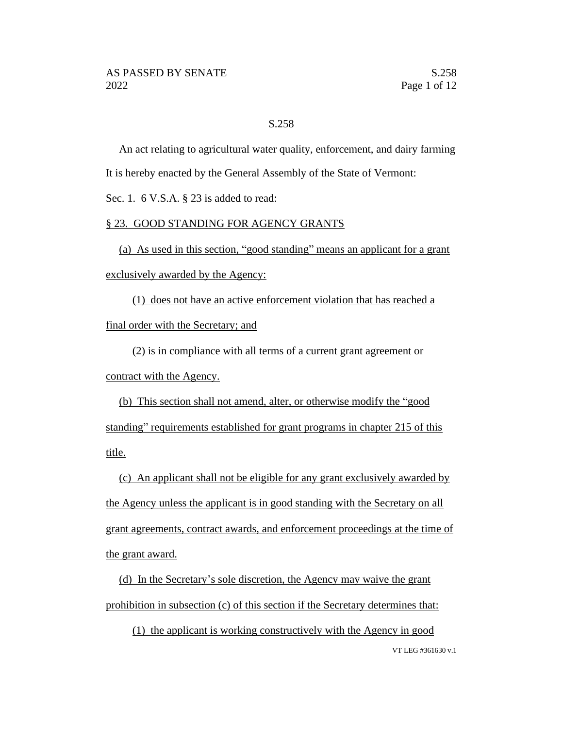# S.258

An act relating to agricultural water quality, enforcement, and dairy farming It is hereby enacted by the General Assembly of the State of Vermont:

Sec. 1. 6 V.S.A. § 23 is added to read:

## § 23. GOOD STANDING FOR AGENCY GRANTS

(a) As used in this section, "good standing" means an applicant for a grant exclusively awarded by the Agency:

(1) does not have an active enforcement violation that has reached a final order with the Secretary; and

(2) is in compliance with all terms of a current grant agreement or contract with the Agency.

(b) This section shall not amend, alter, or otherwise modify the "good standing" requirements established for grant programs in chapter 215 of this title.

(c) An applicant shall not be eligible for any grant exclusively awarded by the Agency unless the applicant is in good standing with the Secretary on all grant agreements, contract awards, and enforcement proceedings at the time of the grant award.

(d) In the Secretary's sole discretion, the Agency may waive the grant prohibition in subsection (c) of this section if the Secretary determines that:

VT LEG #361630 v.1 (1) the applicant is working constructively with the Agency in good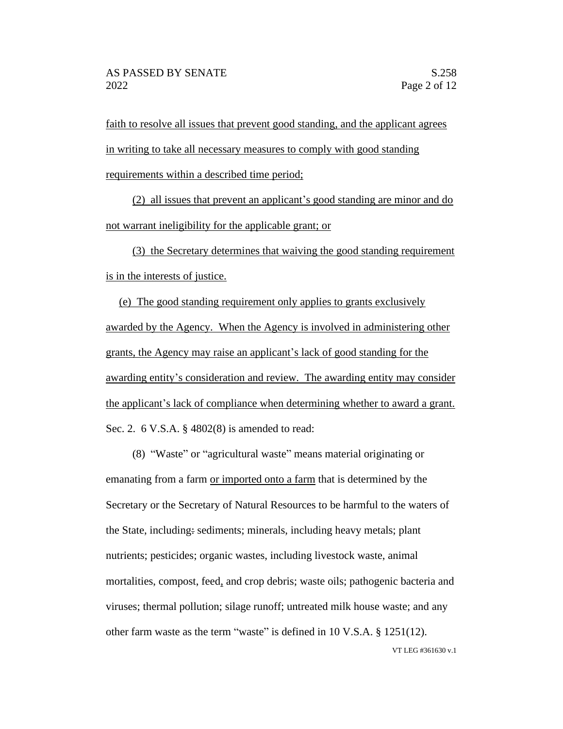faith to resolve all issues that prevent good standing, and the applicant agrees in writing to take all necessary measures to comply with good standing requirements within a described time period;

(2) all issues that prevent an applicant's good standing are minor and do not warrant ineligibility for the applicable grant; or

(3) the Secretary determines that waiving the good standing requirement is in the interests of justice.

(e) The good standing requirement only applies to grants exclusively awarded by the Agency. When the Agency is involved in administering other grants, the Agency may raise an applicant's lack of good standing for the awarding entity's consideration and review. The awarding entity may consider the applicant's lack of compliance when determining whether to award a grant. Sec. 2. 6 V.S.A. § 4802(8) is amended to read:

(8) "Waste" or "agricultural waste" means material originating or emanating from a farm or imported onto a farm that is determined by the Secretary or the Secretary of Natural Resources to be harmful to the waters of the State, including: sediments; minerals, including heavy metals; plant nutrients; pesticides; organic wastes, including livestock waste, animal mortalities, compost, feed, and crop debris; waste oils; pathogenic bacteria and viruses; thermal pollution; silage runoff; untreated milk house waste; and any other farm waste as the term "waste" is defined in 10 V.S.A. § 1251(12).

VT LEG #361630 v.1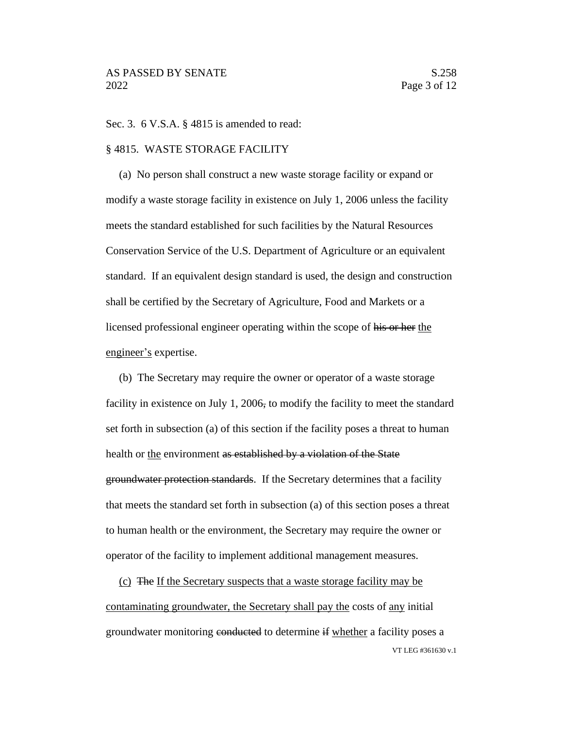Sec. 3. 6 V.S.A. § 4815 is amended to read:

## § 4815. WASTE STORAGE FACILITY

(a) No person shall construct a new waste storage facility or expand or modify a waste storage facility in existence on July 1, 2006 unless the facility meets the standard established for such facilities by the Natural Resources Conservation Service of the U.S. Department of Agriculture or an equivalent standard. If an equivalent design standard is used, the design and construction shall be certified by the Secretary of Agriculture, Food and Markets or a licensed professional engineer operating within the scope of his or her the engineer's expertise.

(b) The Secretary may require the owner or operator of a waste storage facility in existence on July 1, 2006, to modify the facility to meet the standard set forth in subsection (a) of this section if the facility poses a threat to human health or the environment as established by a violation of the State groundwater protection standards. If the Secretary determines that a facility that meets the standard set forth in subsection (a) of this section poses a threat to human health or the environment, the Secretary may require the owner or operator of the facility to implement additional management measures.

VT LEG #361630 v.1 (c) The If the Secretary suspects that a waste storage facility may be contaminating groundwater, the Secretary shall pay the costs of any initial groundwater monitoring conducted to determine if whether a facility poses a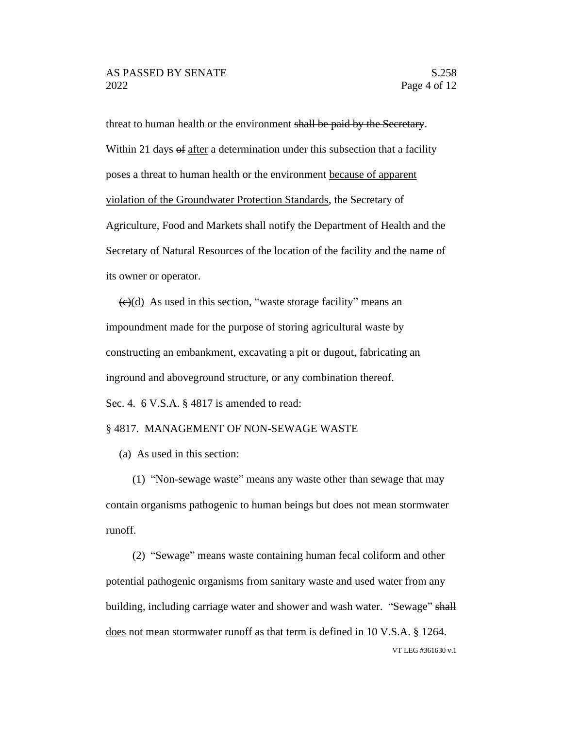threat to human health or the environment shall be paid by the Secretary. Within 21 days of after a determination under this subsection that a facility poses a threat to human health or the environment because of apparent violation of the Groundwater Protection Standards, the Secretary of Agriculture, Food and Markets shall notify the Department of Health and the Secretary of Natural Resources of the location of the facility and the name of its owner or operator.

 $\left(\frac{e}{e}\right)$  As used in this section, "waste storage facility" means an impoundment made for the purpose of storing agricultural waste by constructing an embankment, excavating a pit or dugout, fabricating an inground and aboveground structure, or any combination thereof. Sec. 4. 6 V.S.A. § 4817 is amended to read:

## § 4817. MANAGEMENT OF NON-SEWAGE WASTE

(a) As used in this section:

(1) "Non-sewage waste" means any waste other than sewage that may contain organisms pathogenic to human beings but does not mean stormwater runoff.

VT LEG #361630 v.1 (2) "Sewage" means waste containing human fecal coliform and other potential pathogenic organisms from sanitary waste and used water from any building, including carriage water and shower and wash water. "Sewage" shall does not mean stormwater runoff as that term is defined in 10 V.S.A. § 1264.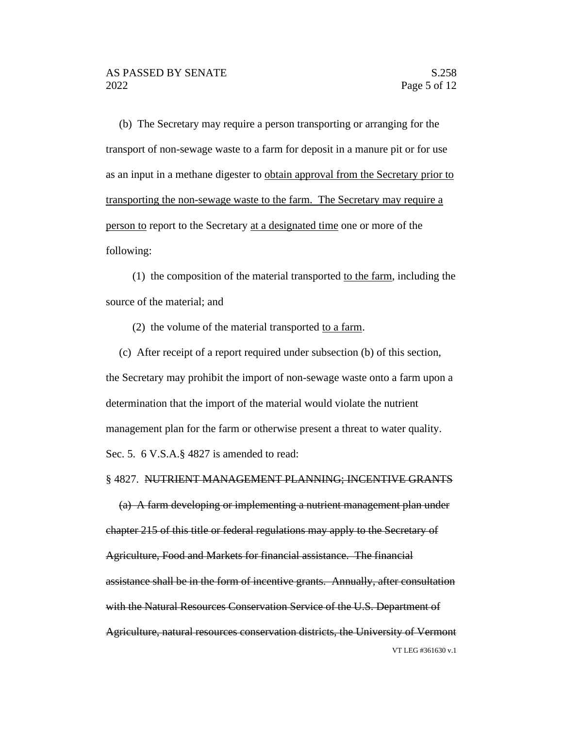(b) The Secretary may require a person transporting or arranging for the transport of non-sewage waste to a farm for deposit in a manure pit or for use as an input in a methane digester to obtain approval from the Secretary prior to transporting the non-sewage waste to the farm. The Secretary may require a person to report to the Secretary at a designated time one or more of the following:

(1) the composition of the material transported to the farm, including the source of the material; and

(2) the volume of the material transported to a farm.

(c) After receipt of a report required under subsection (b) of this section, the Secretary may prohibit the import of non-sewage waste onto a farm upon a determination that the import of the material would violate the nutrient management plan for the farm or otherwise present a threat to water quality. Sec. 5. 6 V.S.A.§ 4827 is amended to read:

#### § 4827. NUTRIENT MANAGEMENT PLANNING; INCENTIVE GRANTS

VT LEG #361630 v.1 (a) A farm developing or implementing a nutrient management plan under chapter 215 of this title or federal regulations may apply to the Secretary of Agriculture, Food and Markets for financial assistance. The financial assistance shall be in the form of incentive grants. Annually, after consultation with the Natural Resources Conservation Service of the U.S. Department of Agriculture, natural resources conservation districts, the University of Vermont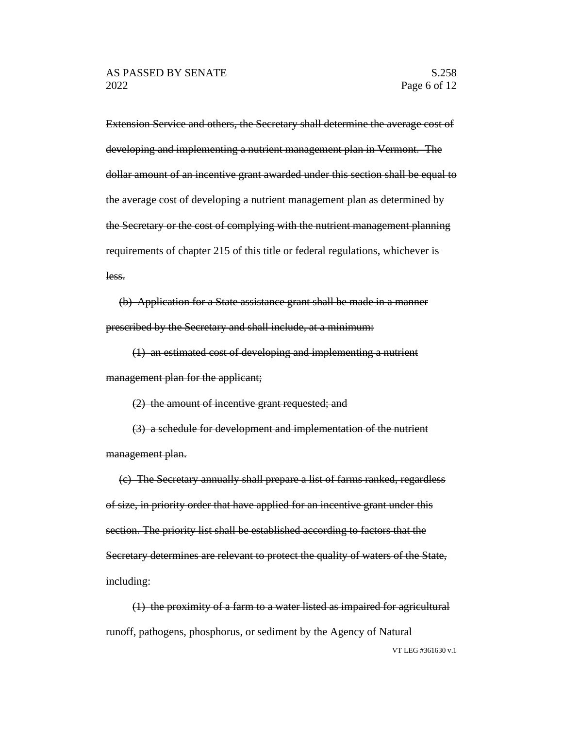Extension Service and others, the Secretary shall determine the average cost of developing and implementing a nutrient management plan in Vermont. The dollar amount of an incentive grant awarded under this section shall be equal to the average cost of developing a nutrient management plan as determined by the Secretary or the cost of complying with the nutrient management planning requirements of chapter 215 of this title or federal regulations, whichever is less.

(b) Application for a State assistance grant shall be made in a manner prescribed by the Secretary and shall include, at a minimum:

(1) an estimated cost of developing and implementing a nutrient management plan for the applicant;

(2) the amount of incentive grant requested; and

(3) a schedule for development and implementation of the nutrient management plan.

(c) The Secretary annually shall prepare a list of farms ranked, regardless of size, in priority order that have applied for an incentive grant under this section. The priority list shall be established according to factors that the Secretary determines are relevant to protect the quality of waters of the State, including:

(1) the proximity of a farm to a water listed as impaired for agricultural runoff, pathogens, phosphorus, or sediment by the Agency of Natural

VT LEG #361630 v.1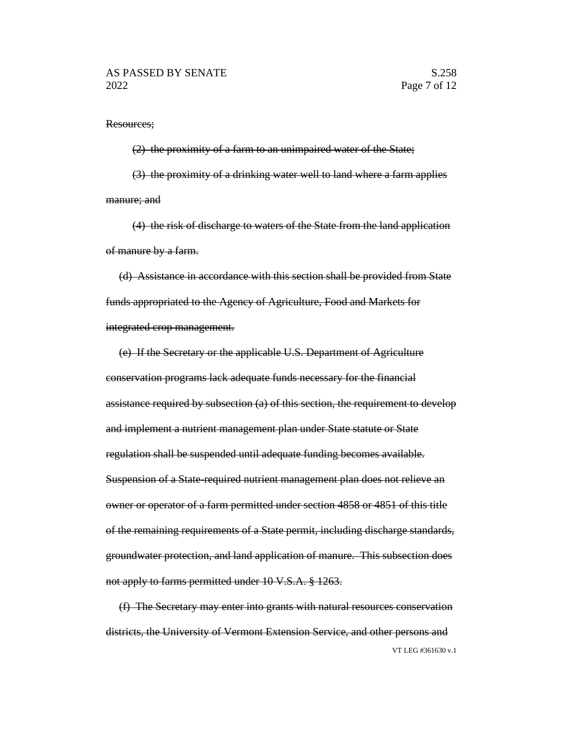#### Resources;

(2) the proximity of a farm to an unimpaired water of the State; (3) the proximity of a drinking water well to land where a farm applies manure; and

(4) the risk of discharge to waters of the State from the land application of manure by a farm.

(d) Assistance in accordance with this section shall be provided from State funds appropriated to the Agency of Agriculture, Food and Markets for integrated crop management.

(e) If the Secretary or the applicable U.S. Department of Agriculture conservation programs lack adequate funds necessary for the financial assistance required by subsection (a) of this section, the requirement to develop and implement a nutrient management plan under State statute or State regulation shall be suspended until adequate funding becomes available. Suspension of a State-required nutrient management plan does not relieve an owner or operator of a farm permitted under section 4858 or 4851 of this title of the remaining requirements of a State permit, including discharge standards, groundwater protection, and land application of manure. This subsection does not apply to farms permitted under 10 V.S.A. § 1263.

VT LEG #361630 v.1 (f) The Secretary may enter into grants with natural resources conservation districts, the University of Vermont Extension Service, and other persons and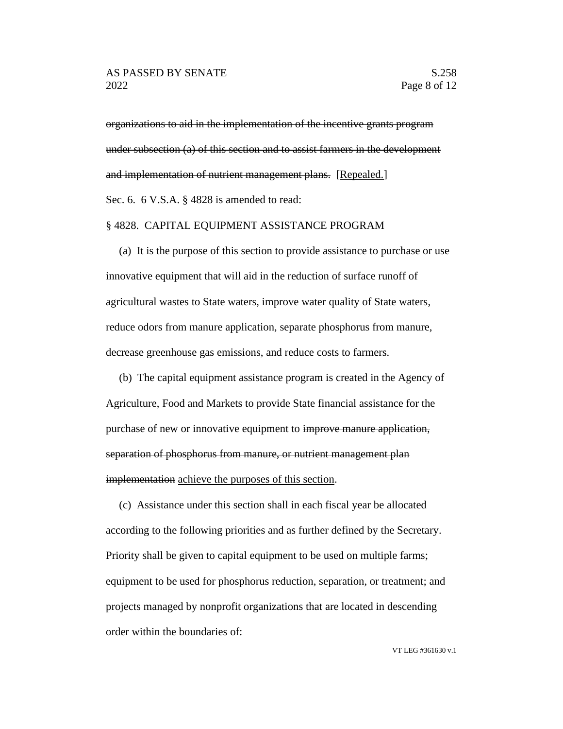organizations to aid in the implementation of the incentive grants program under subsection (a) of this section and to assist farmers in the development and implementation of nutrient management plans. [Repealed.] Sec. 6. 6 V.S.A. § 4828 is amended to read:

### § 4828. CAPITAL EQUIPMENT ASSISTANCE PROGRAM

(a) It is the purpose of this section to provide assistance to purchase or use innovative equipment that will aid in the reduction of surface runoff of agricultural wastes to State waters, improve water quality of State waters, reduce odors from manure application, separate phosphorus from manure, decrease greenhouse gas emissions, and reduce costs to farmers.

(b) The capital equipment assistance program is created in the Agency of Agriculture, Food and Markets to provide State financial assistance for the purchase of new or innovative equipment to improve manure application, separation of phosphorus from manure, or nutrient management plan implementation achieve the purposes of this section.

(c) Assistance under this section shall in each fiscal year be allocated according to the following priorities and as further defined by the Secretary. Priority shall be given to capital equipment to be used on multiple farms; equipment to be used for phosphorus reduction, separation, or treatment; and projects managed by nonprofit organizations that are located in descending order within the boundaries of: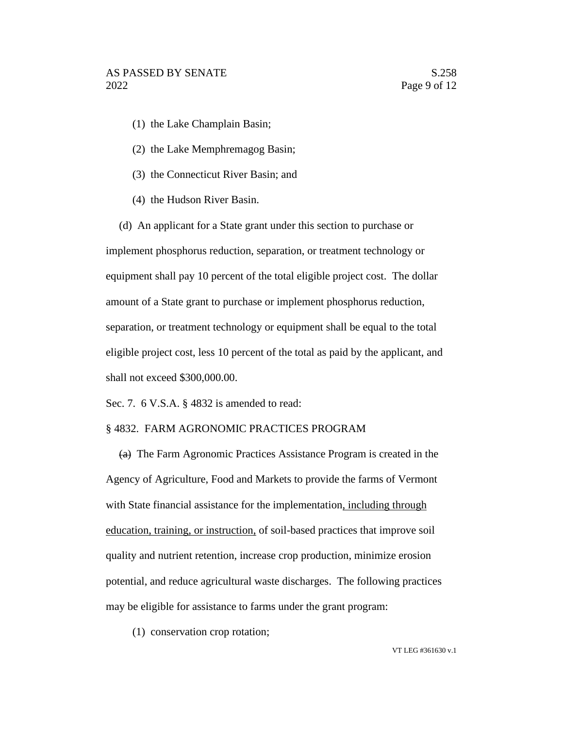- (1) the Lake Champlain Basin;
- (2) the Lake Memphremagog Basin;
- (3) the Connecticut River Basin; and
- (4) the Hudson River Basin.

(d) An applicant for a State grant under this section to purchase or implement phosphorus reduction, separation, or treatment technology or equipment shall pay 10 percent of the total eligible project cost. The dollar amount of a State grant to purchase or implement phosphorus reduction, separation, or treatment technology or equipment shall be equal to the total eligible project cost, less 10 percent of the total as paid by the applicant, and shall not exceed \$300,000.00.

Sec. 7. 6 V.S.A. § 4832 is amended to read:

## § 4832. FARM AGRONOMIC PRACTICES PROGRAM

(a) The Farm Agronomic Practices Assistance Program is created in the Agency of Agriculture, Food and Markets to provide the farms of Vermont with State financial assistance for the implementation, including through education, training, or instruction, of soil-based practices that improve soil quality and nutrient retention, increase crop production, minimize erosion potential, and reduce agricultural waste discharges. The following practices may be eligible for assistance to farms under the grant program:

(1) conservation crop rotation;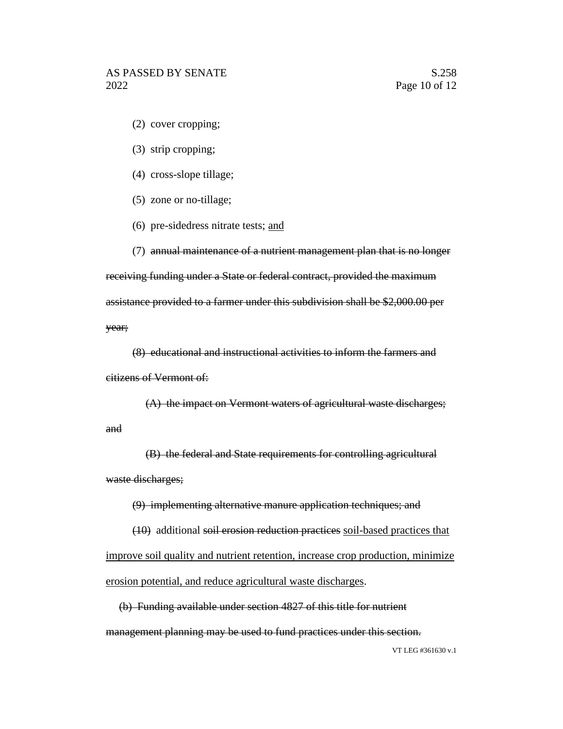- (2) cover cropping;
- (3) strip cropping;
- (4) cross-slope tillage;
- (5) zone or no-tillage;
- (6) pre-sidedress nitrate tests; and

(7) annual maintenance of a nutrient management plan that is no longer receiving funding under a State or federal contract, provided the maximum assistance provided to a farmer under this subdivision shall be \$2,000.00 per year;

(8) educational and instructional activities to inform the farmers and citizens of Vermont of:

(A) the impact on Vermont waters of agricultural waste discharges; and

(B) the federal and State requirements for controlling agricultural waste discharges;

(9) implementing alternative manure application techniques; and

(10) additional soil erosion reduction practices soil-based practices that improve soil quality and nutrient retention, increase crop production, minimize erosion potential, and reduce agricultural waste discharges.

(b) Funding available under section 4827 of this title for nutrient management planning may be used to fund practices under this section.

VT LEG #361630 v.1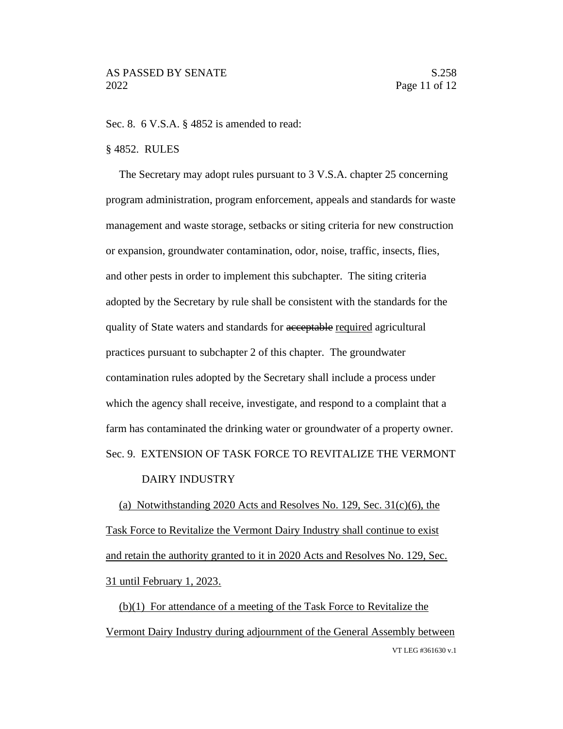#### Sec. 8. 6 V.S.A. § 4852 is amended to read:

#### § 4852. RULES

The Secretary may adopt rules pursuant to 3 V.S.A. chapter 25 concerning program administration, program enforcement, appeals and standards for waste management and waste storage, setbacks or siting criteria for new construction or expansion, groundwater contamination, odor, noise, traffic, insects, flies, and other pests in order to implement this subchapter. The siting criteria adopted by the Secretary by rule shall be consistent with the standards for the quality of State waters and standards for acceptable required agricultural practices pursuant to subchapter 2 of this chapter. The groundwater contamination rules adopted by the Secretary shall include a process under which the agency shall receive, investigate, and respond to a complaint that a farm has contaminated the drinking water or groundwater of a property owner. Sec. 9. EXTENSION OF TASK FORCE TO REVITALIZE THE VERMONT

#### DAIRY INDUSTRY

(a) Notwithstanding 2020 Acts and Resolves No. 129, Sec. 31(c)(6), the Task Force to Revitalize the Vermont Dairy Industry shall continue to exist and retain the authority granted to it in 2020 Acts and Resolves No. 129, Sec. 31 until February 1, 2023.

VT LEG #361630 v.1 (b)(1) For attendance of a meeting of the Task Force to Revitalize the Vermont Dairy Industry during adjournment of the General Assembly between